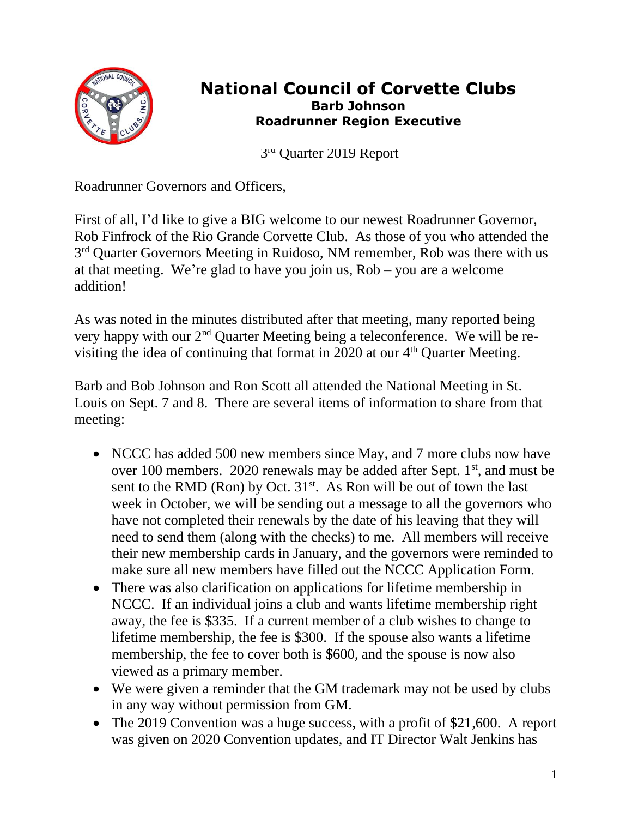

## **National Council of Corvette Clubs Barb Johnson Roadrunner Region Executive**

 3 3r<sup>a</sup> Quarter 2019 Report

Roadrunner Governors and Officers,

First of all, I'd like to give a BIG welcome to our newest Roadrunner Governor, Rob Finfrock of the Rio Grande Corvette Club. As those of you who attended the 3<sup>rd</sup> Quarter Governors Meeting in Ruidoso, NM remember, Rob was there with us at that meeting. We're glad to have you join us, Rob – you are a welcome addition!

As was noted in the minutes distributed after that meeting, many reported being very happy with our 2nd Quarter Meeting being a teleconference. We will be revisiting the idea of continuing that format in 2020 at our 4th Quarter Meeting.

Barb and Bob Johnson and Ron Scott all attended the National Meeting in St. Louis on Sept. 7 and 8. There are several items of information to share from that meeting:

- NCCC has added 500 new members since May, and 7 more clubs now have over 100 members. 2020 renewals may be added after Sept.  $1<sup>st</sup>$ , and must be sent to the RMD (Ron) by Oct.  $31<sup>st</sup>$ . As Ron will be out of town the last week in October, we will be sending out a message to all the governors who have not completed their renewals by the date of his leaving that they will need to send them (along with the checks) to me. All members will receive their new membership cards in January, and the governors were reminded to make sure all new members have filled out the NCCC Application Form.
- There was also clarification on applications for lifetime membership in NCCC. If an individual joins a club and wants lifetime membership right away, the fee is \$335. If a current member of a club wishes to change to lifetime membership, the fee is \$300. If the spouse also wants a lifetime membership, the fee to cover both is \$600, and the spouse is now also viewed as a primary member.
- We were given a reminder that the GM trademark may not be used by clubs in any way without permission from GM.
- The 2019 Convention was a huge success, with a profit of \$21,600. A report was given on 2020 Convention updates, and IT Director Walt Jenkins has